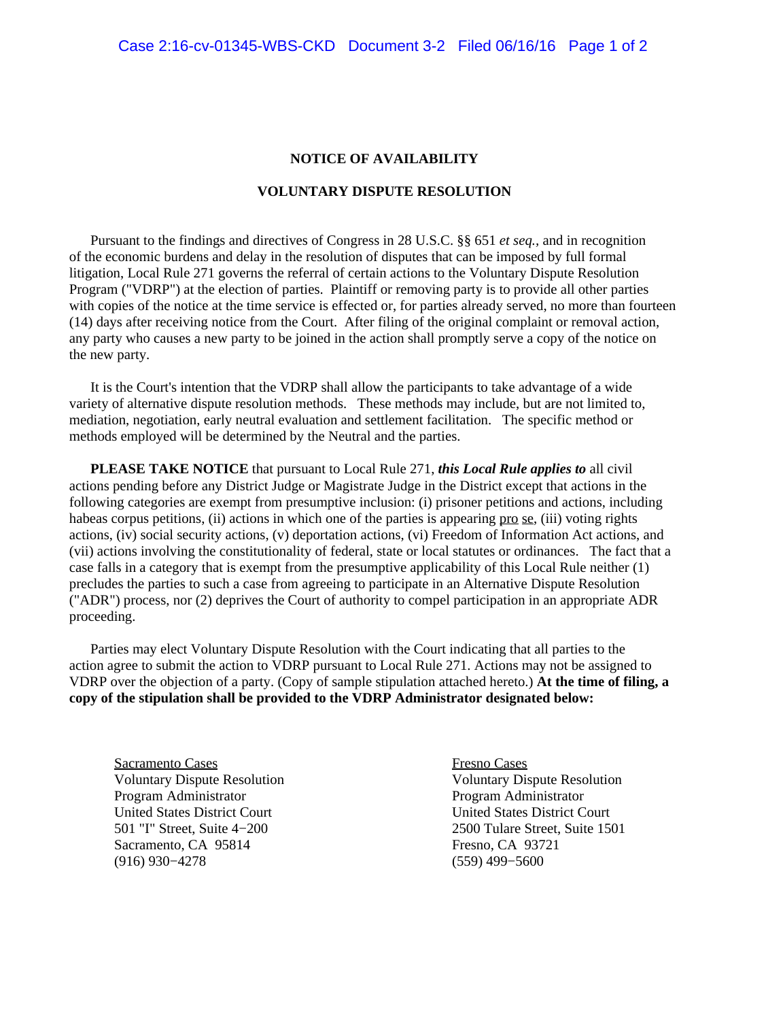## **NOTICE OF AVAILABILITY**

## **VOLUNTARY DISPUTE RESOLUTION**

 Pursuant to the findings and directives of Congress in 28 U.S.C. §§ 651 *et seq.,* and in recognition of the economic burdens and delay in the resolution of disputes that can be imposed by full formal litigation, Local Rule 271 governs the referral of certain actions to the Voluntary Dispute Resolution Program ("VDRP") at the election of parties. Plaintiff or removing party is to provide all other parties with copies of the notice at the time service is effected or, for parties already served, no more than fourteen (14) days after receiving notice from the Court. After filing of the original complaint or removal action, any party who causes a new party to be joined in the action shall promptly serve a copy of the notice on the new party.

 It is the Court's intention that the VDRP shall allow the participants to take advantage of a wide variety of alternative dispute resolution methods. These methods may include, but are not limited to, mediation, negotiation, early neutral evaluation and settlement facilitation. The specific method or methods employed will be determined by the Neutral and the parties.

 **PLEASE TAKE NOTICE** that pursuant to Local Rule 271, *this Local Rule applies to* all civil actions pending before any District Judge or Magistrate Judge in the District except that actions in the following categories are exempt from presumptive inclusion: (i) prisoner petitions and actions, including habeas corpus petitions, (ii) actions in which one of the parties is appearing pro se, (iii) voting rights actions, (iv) social security actions, (v) deportation actions, (vi) Freedom of Information Act actions, and (vii) actions involving the constitutionality of federal, state or local statutes or ordinances. The fact that a case falls in a category that is exempt from the presumptive applicability of this Local Rule neither (1) precludes the parties to such a case from agreeing to participate in an Alternative Dispute Resolution ("ADR") process, nor (2) deprives the Court of authority to compel participation in an appropriate ADR proceeding.

 Parties may elect Voluntary Dispute Resolution with the Court indicating that all parties to the action agree to submit the action to VDRP pursuant to Local Rule 271. Actions may not be assigned to VDRP over the objection of a party. (Copy of sample stipulation attached hereto.) **At the time of filing, a copy of the stipulation shall be provided to the VDRP Administrator designated below:**

Sacramento Cases Fresno Cases Program Administrator **Program Administrator** Program Administrator United States District Court<br>
501 "I" Street, Suite 4–200 2500 Tulare Street, Suite 150 Sacramento, CA 95814 Fresno, CA 93721 (916) 930−4278 (559) 499−5600

Voluntary Dispute Resolution Voluntary Dispute Resolution 2500 Tulare Street, Suite 1501